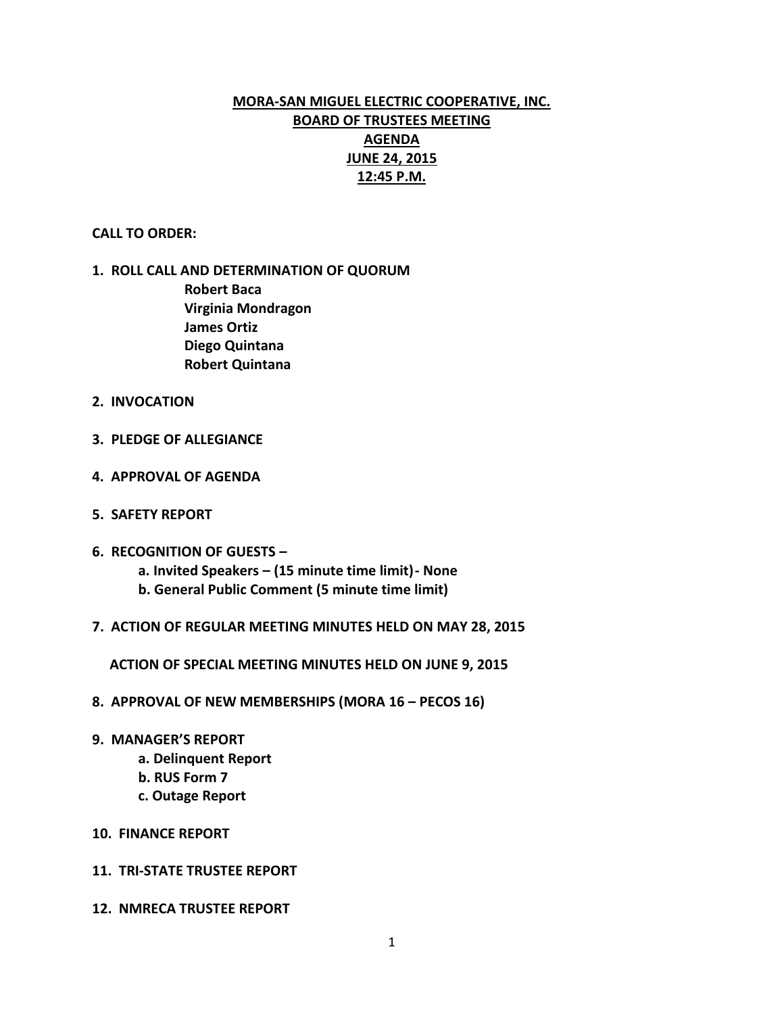# **MORA-SAN MIGUEL ELECTRIC COOPERATIVE, INC. BOARD OF TRUSTEES MEETING AGENDA JUNE 24, 2015 12:45 P.M.**

#### **CALL TO ORDER:**

## **1. ROLL CALL AND DETERMINATION OF QUORUM Robert Baca Virginia Mondragon James Ortiz Diego Quintana Robert Quintana**

- **2. INVOCATION**
- **3. PLEDGE OF ALLEGIANCE**
- **4. APPROVAL OF AGENDA**
- **5. SAFETY REPORT**
- **6. RECOGNITION OF GUESTS –**
	- **a. Invited Speakers – (15 minute time limit)- None**
	- **b. General Public Comment (5 minute time limit)**
- **7. ACTION OF REGULAR MEETING MINUTES HELD ON MAY 28, 2015**

 **ACTION OF SPECIAL MEETING MINUTES HELD ON JUNE 9, 2015**

- **8. APPROVAL OF NEW MEMBERSHIPS (MORA 16 – PECOS 16)**
- **9. MANAGER'S REPORT**
	- **a. Delinquent Report**
	- **b. RUS Form 7**
	- **c. Outage Report**
- **10. FINANCE REPORT**
- **11. TRI-STATE TRUSTEE REPORT**
- **12. NMRECA TRUSTEE REPORT**